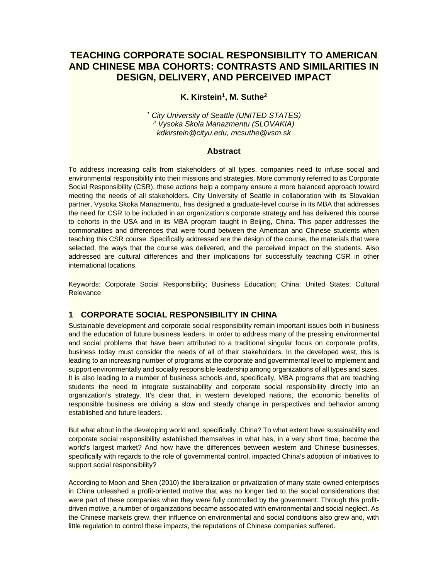# **TEACHING CORPORATE SOCIAL RESPONSIBILITY TO AMERICAN AND CHINESE MBA COHORTS: CONTRASTS AND SIMILARITIES IN DESIGN, DELIVERY, AND PERCEIVED IMPACT**

# **K. Kirstein1, M. Suthe2**

*1 City University of Seattle (UNITED STATES) 2 Vysoka Skola Manazmentu (SLOVAKIA) kdkirstein@cityu.edu, mcsuthe@vsm.sk* 

#### **Abstract**

To address increasing calls from stakeholders of all types, companies need to infuse social and environmental responsibility into their missions and strategies. More commonly referred to as Corporate Social Responsibility (CSR), these actions help a company ensure a more balanced approach toward meeting the needs of all stakeholders. City University of Seattle in collaboration with its Slovakian partner, Vysoka Skoka Manazmentu, has designed a graduate-level course in its MBA that addresses the need for CSR to be included in an organization's corporate strategy and has delivered this course to cohorts in the USA and in its MBA program taught in Beijing, China. This paper addresses the commonalities and differences that were found between the American and Chinese students when teaching this CSR course. Specifically addressed are the design of the course, the materials that were selected, the ways that the course was delivered, and the perceived impact on the students. Also addressed are cultural differences and their implications for successfully teaching CSR in other international locations.

Keywords: Corporate Social Responsibility; Business Education; China; United States; Cultural **Relevance** 

## **1 CORPORATE SOCIAL RESPONSIBILITY IN CHINA**

Sustainable development and corporate social responsibility remain important issues both in business and the education of future business leaders. In order to address many of the pressing environmental and social problems that have been attributed to a traditional singular focus on corporate profits, business today must consider the needs of all of their stakeholders. In the developed west, this is leading to an increasing number of programs at the corporate and governmental level to implement and support environmentally and socially responsible leadership among organizations of all types and sizes. It is also leading to a number of business schools and, specifically, MBA programs that are teaching students the need to integrate sustainability and corporate social responsibility directly into an organization's strategy. It's clear that, in western developed nations, the economic benefits of responsible business are driving a slow and steady change in perspectives and behavior among established and future leaders.

But what about in the developing world and, specifically, China? To what extent have sustainability and corporate social responsibility established themselves in what has, in a very short time, become the world's largest market? And how have the differences between western and Chinese businesses, specifically with regards to the role of governmental control, impacted China's adoption of initiatives to support social responsibility?

According to Moon and Shen (2010) the liberalization or privatization of many state-owned enterprises in China unleashed a profit-oriented motive that was no longer tied to the social considerations that were part of these companies when they were fully controlled by the government. Through this profitdriven motive, a number of organizations became associated with environmental and social neglect. As the Chinese markets grew, their influence on environmental and social conditions also grew and, with little regulation to control these impacts, the reputations of Chinese companies suffered.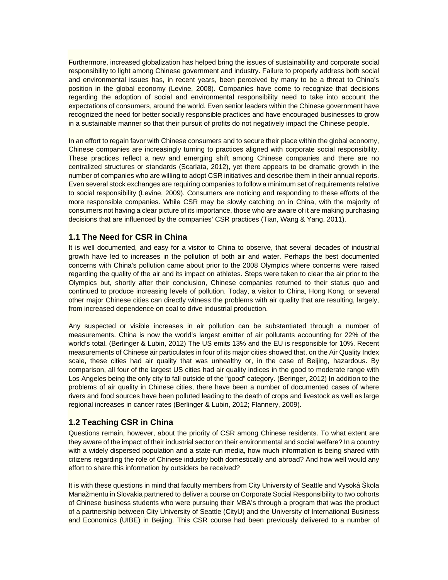Furthermore, increased globalization has helped bring the issues of sustainability and corporate social responsibility to light among Chinese government and industry. Failure to properly address both social and environmental issues has, in recent years, been perceived by many to be a threat to China's position in the global economy (Levine, 2008). Companies have come to recognize that decisions regarding the adoption of social and environmental responsibility need to take into account the expectations of consumers, around the world. Even senior leaders within the Chinese government have recognized the need for better socially responsible practices and have encouraged businesses to grow in a sustainable manner so that their pursuit of profits do not negatively impact the Chinese people.

In an effort to regain favor with Chinese consumers and to secure their place within the global economy, Chinese companies are increasingly turning to practices aligned with corporate social responsibility. These practices reflect a new and emerging shift among Chinese companies and there are no centralized structures or standards (Scarlata, 2012), yet there appears to be dramatic growth in the number of companies who are willing to adopt CSR initiatives and describe them in their annual reports. Even several stock exchanges are requiring companies to follow a minimum set of requirements relative to social responsibility (Levine, 2009). Consumers are noticing and responding to these efforts of the more responsible companies. While CSR may be slowly catching on in China, with the majority of consumers not having a clear picture of its importance, those who are aware of it are making purchasing decisions that are influenced by the companies' CSR practices (Tian, Wang & Yang, 2011).

#### **1.1 The Need for CSR in China**

It is well documented, and easy for a visitor to China to observe, that several decades of industrial growth have led to increases in the pollution of both air and water. Perhaps the best documented concerns with China's pollution came about prior to the 2008 Olympics where concerns were raised regarding the quality of the air and its impact on athletes. Steps were taken to clear the air prior to the Olympics but, shortly after their conclusion, Chinese companies returned to their status quo and continued to produce increasing levels of pollution. Today, a visitor to China, Hong Kong, or several other major Chinese cities can directly witness the problems with air quality that are resulting, largely, from increased dependence on coal to drive industrial production.

Any suspected or visible increases in air pollution can be substantiated through a number of measurements. China is now the world's largest emitter of air pollutants accounting for 22% of the world's total. (Berlinger & Lubin, 2012) The US emits 13% and the EU is responsible for 10%. Recent measurements of Chinese air particulates in four of its major cities showed that, on the Air Quality Index scale, these cities had air quality that was unhealthy or, in the case of Beijing, hazardous. By comparison, all four of the largest US cities had air quality indices in the good to moderate range with Los Angeles being the only city to fall outside of the "good" category. (Beringer, 2012) In addition to the problems of air quality in Chinese cities, there have been a number of documented cases of where rivers and food sources have been polluted leading to the death of crops and livestock as well as large regional increases in cancer rates (Berlinger & Lubin, 2012; Flannery, 2009).

## **1.2 Teaching CSR in China**

Questions remain, however, about the priority of CSR among Chinese residents. To what extent are they aware of the impact of their industrial sector on their environmental and social welfare? In a country with a widely dispersed population and a state-run media, how much information is being shared with citizens regarding the role of Chinese industry both domestically and abroad? And how well would any effort to share this information by outsiders be received?

It is with these questions in mind that faculty members from City University of Seattle and Vysoká Škola Manažmentu in Slovakia partnered to deliver a course on Corporate Social Responsibility to two cohorts of Chinese business students who were pursuing their MBA's through a program that was the product of a partnership between City University of Seattle (CityU) and the University of International Business and Economics (UIBE) in Beijing. This CSR course had been previously delivered to a number of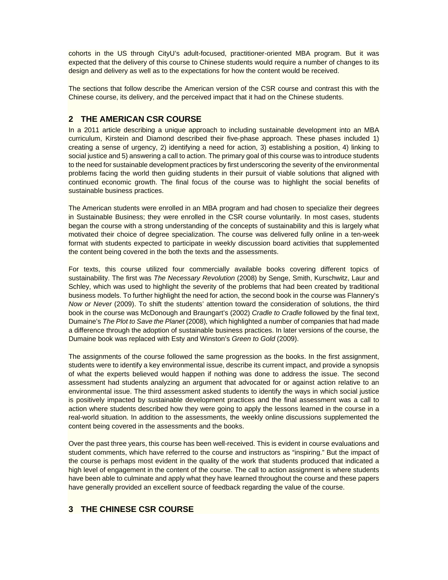cohorts in the US through CityU's adult-focused, practitioner-oriented MBA program. But it was expected that the delivery of this course to Chinese students would require a number of changes to its design and delivery as well as to the expectations for how the content would be received.

The sections that follow describe the American version of the CSR course and contrast this with the Chinese course, its delivery, and the perceived impact that it had on the Chinese students.

# **2 THE AMERICAN CSR COURSE**

In a 2011 article describing a unique approach to including sustainable development into an MBA curriculum, Kirstein and Diamond described their five-phase approach. These phases included 1) creating a sense of urgency, 2) identifying a need for action, 3) establishing a position, 4) linking to social justice and 5) answering a call to action. The primary goal of this course was to introduce students to the need for sustainable development practices by first underscoring the severity of the environmental problems facing the world then guiding students in their pursuit of viable solutions that aligned with continued economic growth. The final focus of the course was to highlight the social benefits of sustainable business practices.

The American students were enrolled in an MBA program and had chosen to specialize their degrees in Sustainable Business; they were enrolled in the CSR course voluntarily. In most cases, students began the course with a strong understanding of the concepts of sustainability and this is largely what motivated their choice of degree specialization. The course was delivered fully online in a ten-week format with students expected to participate in weekly discussion board activities that supplemented the content being covered in the both the texts and the assessments.

For texts, this course utilized four commercially available books covering different topics of sustainability. The first was *The Necessary Revolution* (2008) by Senge, Smith, Kurschwitz, Laur and Schley, which was used to highlight the severity of the problems that had been created by traditional business models. To further highlight the need for action, the second book in the course was Flannery's *Now or Never* (2009). To shift the students' attention toward the consideration of solutions, the third book in the course was McDonough and Braungart's (2002) *Cradle to Cradle* followed by the final text, Dumaine's *The Plot to Save the Planet* (2008)*,* which highlighted a number of companies that had made a difference through the adoption of sustainable business practices. In later versions of the course, the Dumaine book was replaced with Esty and Winston's *Green to Gold* (2009).

The assignments of the course followed the same progression as the books. In the first assignment, students were to identify a key environmental issue, describe its current impact, and provide a synopsis of what the experts believed would happen if nothing was done to address the issue. The second assessment had students analyzing an argument that advocated for or against action relative to an environmental issue. The third assessment asked students to identify the ways in which social justice is positively impacted by sustainable development practices and the final assessment was a call to action where students described how they were going to apply the lessons learned in the course in a real-world situation. In addition to the assessments, the weekly online discussions supplemented the content being covered in the assessments and the books.

Over the past three years, this course has been well-received. This is evident in course evaluations and student comments, which have referred to the course and instructors as "inspiring." But the impact of the course is perhaps most evident in the quality of the work that students produced that indicated a high level of engagement in the content of the course. The call to action assignment is where students have been able to culminate and apply what they have learned throughout the course and these papers have generally provided an excellent source of feedback regarding the value of the course.

## **3 THE CHINESE CSR COURSE**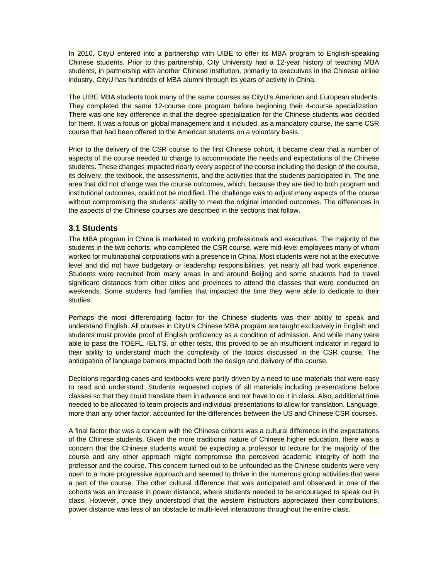In 2010, CityU entered into a partnership with UIBE to offer its MBA program to English-speaking Chinese students. Prior to this partnership, City University had a 12-year history of teaching MBA students, in partnership with another Chinese institution, primarily to executives in the Chinese airline industry. CityU has hundreds of MBA alumni through its years of activity in China.

The UIBE MBA students took many of the same courses as CityU's American and European students. They completed the same 12-course core program before beginning their 4-course specialization. There was one key difference in that the degree specialization for the Chinese students was decided for them. It was a focus on global management and it included, as a mandatory course, the same CSR course that had been offered to the American students on a voluntary basis.

Prior to the delivery of the CSR course to the first Chinese cohort, it became clear that a number of aspects of the course needed to change to accommodate the needs and expectations of the Chinese students. These changes impacted nearly every aspect of the course including the design of the course, its delivery, the textbook, the assessments, and the activities that the students participated in. The one area that did not change was the course outcomes, which, because they are tied to both program and institutional outcomes, could not be modified. The challenge was to adjust many aspects of the course without compromising the students' ability to meet the original intended outcomes. The differences in the aspects of the Chinese courses are described in the sections that follow.

#### **3.1 Students**

The MBA program in China is marketed to working professionals and executives. The majority of the students in the two cohorts, who completed the CSR course, were mid-level employees many of whom worked for multinational corporations with a presence in China. Most students were not at the executive level and did not have budgetary or leadership responsibilities, yet nearly all had work experience. Students were recruited from many areas in and around Beijing and some students had to travel significant distances from other cities and provinces to attend the classes that were conducted on weekends. Some students had families that impacted the time they were able to dedicate to their studies.

Perhaps the most differentiating factor for the Chinese students was their ability to speak and understand English. All courses in CityU's Chinese MBA program are taught exclusively in English and students must provide proof of English proficiency as a condition of admission. And while many were able to pass the TOEFL, IELTS, or other tests, this proved to be an insufficient indicator in regard to their ability to understand much the complexity of the topics discussed in the CSR course. The anticipation of language barriers impacted both the design and delivery of the course.

Decisions regarding cases and textbooks were partly driven by a need to use materials that were easy to read and understand. Students requested copies of all materials including presentations before classes so that they could translate them in advance and not have to do it in class. Also, additional time needed to be allocated to team projects and individual presentations to allow for translation. Language, more than any other factor, accounted for the differences between the US and Chinese CSR courses.

A final factor that was a concern with the Chinese cohorts was a cultural difference in the expectations of the Chinese students. Given the more traditional nature of Chinese higher education, there was a concern that the Chinese students would be expecting a professor to lecture for the majority of the course and any other approach might compromise the perceived academic integrity of both the professor and the course. This concern turned out to be unfounded as the Chinese students were very open to a more progressive approach and seemed to thrive in the numerous group activities that were a part of the course. The other cultural difference that was anticipated and observed in one of the cohorts was an increase in power distance, where students needed to be encouraged to speak out in class. However, once they understood that the western instructors appreciated their contributions, power distance was less of an obstacle to multi-level interactions throughout the entire class.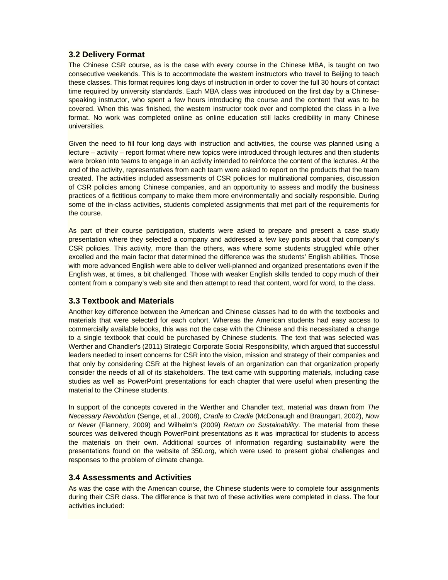# **3.2 Delivery Format**

The Chinese CSR course, as is the case with every course in the Chinese MBA, is taught on two consecutive weekends. This is to accommodate the western instructors who travel to Beijing to teach these classes. This format requires long days of instruction in order to cover the full 30 hours of contact time required by university standards. Each MBA class was introduced on the first day by a Chinesespeaking instructor, who spent a few hours introducing the course and the content that was to be covered. When this was finished, the western instructor took over and completed the class in a live format. No work was completed online as online education still lacks credibility in many Chinese universities.

Given the need to fill four long days with instruction and activities, the course was planned using a lecture – activity – report format where new topics were introduced through lectures and then students were broken into teams to engage in an activity intended to reinforce the content of the lectures. At the end of the activity, representatives from each team were asked to report on the products that the team created. The activities included assessments of CSR policies for multinational companies, discussion of CSR policies among Chinese companies, and an opportunity to assess and modify the business practices of a fictitious company to make them more environmentally and socially responsible. During some of the in-class activities, students completed assignments that met part of the requirements for the course.

As part of their course participation, students were asked to prepare and present a case study presentation where they selected a company and addressed a few key points about that company's CSR policies. This activity, more than the others, was where some students struggled while other excelled and the main factor that determined the difference was the students' English abilities. Those with more advanced English were able to deliver well-planned and organized presentations even if the English was, at times, a bit challenged. Those with weaker English skills tended to copy much of their content from a company's web site and then attempt to read that content, word for word, to the class.

## **3.3 Textbook and Materials**

Another key difference between the American and Chinese classes had to do with the textbooks and materials that were selected for each cohort. Whereas the American students had easy access to commercially available books, this was not the case with the Chinese and this necessitated a change to a single textbook that could be purchased by Chinese students. The text that was selected was Werther and Chandler's (2011) Strategic Corporate Social Responsibility, which argued that successful leaders needed to insert concerns for CSR into the vision, mission and strategy of their companies and that only by considering CSR at the highest levels of an organization can that organization properly consider the needs of all of its stakeholders. The text came with supporting materials, including case studies as well as PowerPoint presentations for each chapter that were useful when presenting the material to the Chinese students.

In support of the concepts covered in the Werther and Chandler text, material was drawn from *The Necessary Revolution* (Senge, et al., 2008), *Cradle to Cradle* (McDonaugh and Braungart, 2002), *Now or Never* (Flannery, 2009) and Wilhelm's (2009) *Return on Sustainability*. The material from these sources was delivered though PowerPoint presentations as it was impractical for students to access the materials on their own. Additional sources of information regarding sustainability were the presentations found on the website of 350.org, which were used to present global challenges and responses to the problem of climate change.

#### **3.4 Assessments and Activities**

As was the case with the American course, the Chinese students were to complete four assignments during their CSR class. The difference is that two of these activities were completed in class. The four activities included: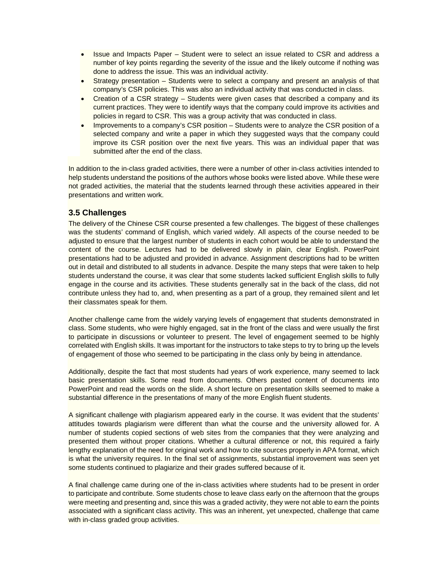- Issue and Impacts Paper Student were to select an issue related to CSR and address a number of key points regarding the severity of the issue and the likely outcome if nothing was done to address the issue. This was an individual activity.
- Strategy presentation Students were to select a company and present an analysis of that company's CSR policies. This was also an individual activity that was conducted in class.
- Creation of a CSR strategy Students were given cases that described a company and its current practices. They were to identify ways that the company could improve its activities and policies in regard to CSR. This was a group activity that was conducted in class.
- Improvements to a company's CSR position Students were to analyze the CSR position of a selected company and write a paper in which they suggested ways that the company could improve its CSR position over the next five years. This was an individual paper that was submitted after the end of the class.

In addition to the in-class graded activities, there were a number of other in-class activities intended to help students understand the positions of the authors whose books were listed above. While these were not graded activities, the material that the students learned through these activities appeared in their presentations and written work.

## **3.5 Challenges**

The delivery of the Chinese CSR course presented a few challenges. The biggest of these challenges was the students' command of English, which varied widely. All aspects of the course needed to be adjusted to ensure that the largest number of students in each cohort would be able to understand the content of the course. Lectures had to be delivered slowly in plain, clear English. PowerPoint presentations had to be adjusted and provided in advance. Assignment descriptions had to be written out in detail and distributed to all students in advance. Despite the many steps that were taken to help students understand the course, it was clear that some students lacked sufficient English skills to fully engage in the course and its activities. These students generally sat in the back of the class, did not contribute unless they had to, and, when presenting as a part of a group, they remained silent and let their classmates speak for them.

Another challenge came from the widely varying levels of engagement that students demonstrated in class. Some students, who were highly engaged, sat in the front of the class and were usually the first to participate in discussions or volunteer to present. The level of engagement seemed to be highly correlated with English skills. It was important for the instructors to take steps to try to bring up the levels of engagement of those who seemed to be participating in the class only by being in attendance.

Additionally, despite the fact that most students had years of work experience, many seemed to lack basic presentation skills. Some read from documents. Others pasted content of documents into PowerPoint and read the words on the slide. A short lecture on presentation skills seemed to make a substantial difference in the presentations of many of the more English fluent students.

A significant challenge with plagiarism appeared early in the course. It was evident that the students' attitudes towards plagiarism were different than what the course and the university allowed for. A number of students copied sections of web sites from the companies that they were analyzing and presented them without proper citations. Whether a cultural difference or not, this required a fairly lengthy explanation of the need for original work and how to cite sources properly in APA format, which is what the university requires. In the final set of assignments, substantial improvement was seen yet some students continued to plagiarize and their grades suffered because of it.

A final challenge came during one of the in-class activities where students had to be present in order to participate and contribute. Some students chose to leave class early on the afternoon that the groups were meeting and presenting and, since this was a graded activity, they were not able to earn the points associated with a significant class activity. This was an inherent, yet unexpected, challenge that came with in-class graded group activities.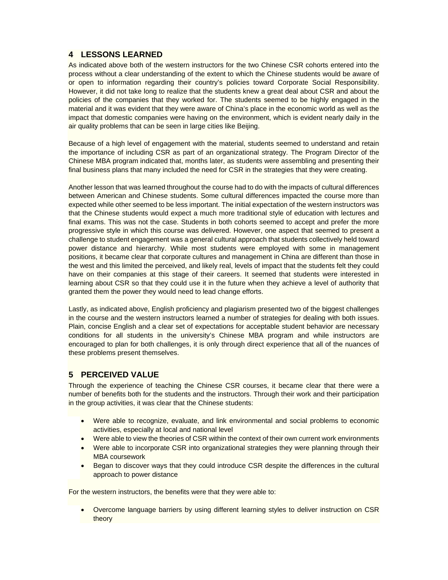# **4 LESSONS LEARNED**

As indicated above both of the western instructors for the two Chinese CSR cohorts entered into the process without a clear understanding of the extent to which the Chinese students would be aware of or open to information regarding their country's policies toward Corporate Social Responsibility. However, it did not take long to realize that the students knew a great deal about CSR and about the policies of the companies that they worked for. The students seemed to be highly engaged in the material and it was evident that they were aware of China's place in the economic world as well as the impact that domestic companies were having on the environment, which is evident nearly daily in the air quality problems that can be seen in large cities like Beijing.

Because of a high level of engagement with the material, students seemed to understand and retain the importance of including CSR as part of an organizational strategy. The Program Director of the Chinese MBA program indicated that, months later, as students were assembling and presenting their final business plans that many included the need for CSR in the strategies that they were creating.

Another lesson that was learned throughout the course had to do with the impacts of cultural differences between American and Chinese students. Some cultural differences impacted the course more than expected while other seemed to be less important. The initial expectation of the western instructors was that the Chinese students would expect a much more traditional style of education with lectures and final exams. This was not the case. Students in both cohorts seemed to accept and prefer the more progressive style in which this course was delivered. However, one aspect that seemed to present a challenge to student engagement was a general cultural approach that students collectively held toward power distance and hierarchy. While most students were employed with some in management positions, it became clear that corporate cultures and management in China are different than those in the west and this limited the perceived, and likely real, levels of impact that the students felt they could have on their companies at this stage of their careers. It seemed that students were interested in learning about CSR so that they could use it in the future when they achieve a level of authority that granted them the power they would need to lead change efforts.

Lastly, as indicated above, English proficiency and plagiarism presented two of the biggest challenges in the course and the western instructors learned a number of strategies for dealing with both issues. Plain, concise English and a clear set of expectations for acceptable student behavior are necessary conditions for all students in the university's Chinese MBA program and while instructors are encouraged to plan for both challenges, it is only through direct experience that all of the nuances of these problems present themselves.

# **5 PERCEIVED VALUE**

Through the experience of teaching the Chinese CSR courses, it became clear that there were a number of benefits both for the students and the instructors. Through their work and their participation in the group activities, it was clear that the Chinese students:

- Were able to recognize, evaluate, and link environmental and social problems to economic activities, especially at local and national level
- Were able to view the theories of CSR within the context of their own current work environments
- Were able to incorporate CSR into organizational strategies they were planning through their MBA coursework
- Began to discover ways that they could introduce CSR despite the differences in the cultural approach to power distance

For the western instructors, the benefits were that they were able to:

 Overcome language barriers by using different learning styles to deliver instruction on CSR theory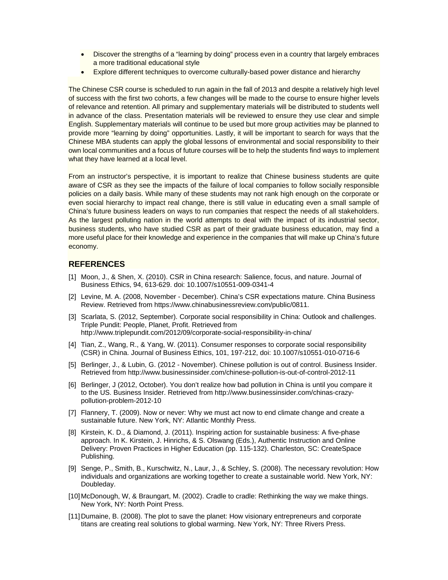- Discover the strengths of a "learning by doing" process even in a country that largely embraces a more traditional educational style
- Explore different techniques to overcome culturally-based power distance and hierarchy

The Chinese CSR course is scheduled to run again in the fall of 2013 and despite a relatively high level of success with the first two cohorts, a few changes will be made to the course to ensure higher levels of relevance and retention. All primary and supplementary materials will be distributed to students well in advance of the class. Presentation materials will be reviewed to ensure they use clear and simple English. Supplementary materials will continue to be used but more group activities may be planned to provide more "learning by doing" opportunities. Lastly, it will be important to search for ways that the Chinese MBA students can apply the global lessons of environmental and social responsibility to their own local communities and a focus of future courses will be to help the students find ways to implement what they have learned at a local level.

From an instructor's perspective, it is important to realize that Chinese business students are quite aware of CSR as they see the impacts of the failure of local companies to follow socially responsible policies on a daily basis. While many of these students may not rank high enough on the corporate or even social hierarchy to impact real change, there is still value in educating even a small sample of China's future business leaders on ways to run companies that respect the needs of all stakeholders. As the largest polluting nation in the world attempts to deal with the impact of its industrial sector, business students, who have studied CSR as part of their graduate business education, may find a more useful place for their knowledge and experience in the companies that will make up China's future economy.

#### **REFERENCES**

- [1] Moon, J., & Shen, X. (2010). CSR in China research: Salience, focus, and nature. Journal of Business Ethics, 94, 613-629. doi: 10.1007/s10551-009-0341-4
- [2] Levine, M. A. (2008, November December). China's CSR expectations mature. China Business Review. Retrieved from https://www.chinabusinessreview.com/public/0811.
- [3] Scarlata, S. (2012, September). Corporate social responsibility in China: Outlook and challenges. Triple Pundit: People, Planet, Profit. Retrieved from http://www.triplepundit.com/2012/09/corporate-social-responsibility-in-china/
- [4] Tian, Z., Wang, R., & Yang, W. (2011). Consumer responses to corporate social responsibility (CSR) in China. Journal of Business Ethics, 101, 197-212, doi: 10.1007/s10551-010-0716-6
- [5] Berlinger, J., & Lubin, G. (2012 November). Chinese pollution is out of control. Business Insider. Retrieved from http://www.businessinsider.com/chinese-pollution-is-out-of-control-2012-11
- [6] Berlinger, J (2012, October). You don't realize how bad pollution in China is until you compare it to the US. Business Insider. Retrieved from http://www.businessinsider.com/chinas-crazypollution-problem-2012-10
- [7] Flannery, T. (2009). Now or never: Why we must act now to end climate change and create a sustainable future. New York, NY: Atlantic Monthly Press.
- [8] Kirstein, K. D., & Diamond, J. (2011). Inspiring action for sustainable business: A five-phase approach. In K. Kirstein, J. Hinrichs, & S. Olswang (Eds.), Authentic Instruction and Online Delivery: Proven Practices in Higher Education (pp. 115-132). Charleston, SC: CreateSpace Publishing.
- [9] Senge, P., Smith, B., Kurschwitz, N., Laur, J., & Schley, S. (2008). The necessary revolution: How individuals and organizations are working together to create a sustainable world. New York, NY: Doubleday.
- [10] McDonough, W, & Braungart, M. (2002). Cradle to cradle: Rethinking the way we make things. New York, NY: North Point Press.
- [11] Dumaine, B. (2008). The plot to save the planet: How visionary entrepreneurs and corporate titans are creating real solutions to global warming. New York, NY: Three Rivers Press.